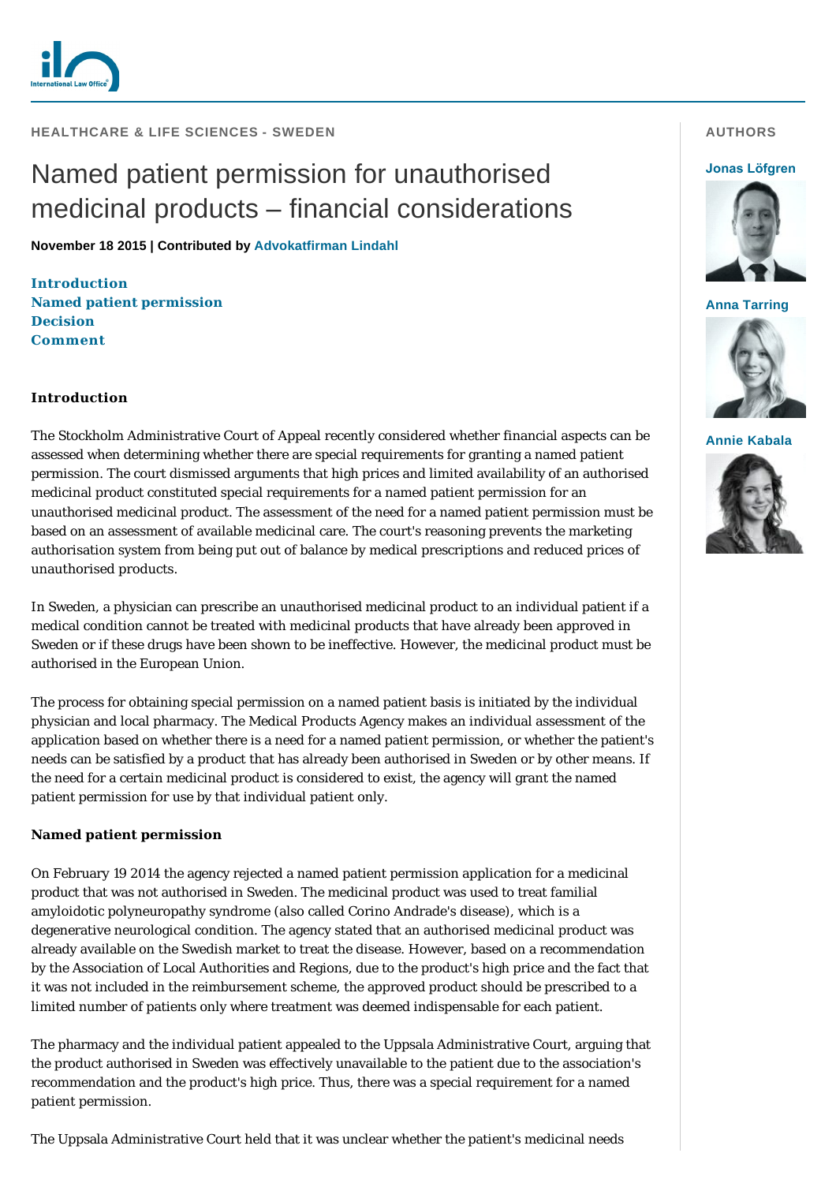

**HEALTHCARE & LIFE SCIENCES - SWEDEN** 

# Named patient permission for unauthorised medicinal products – financial considerations

**November 18 2015 | Contributed by [Advokatfirman Lindahl](http://www.internationallawoffice.com/gesr.ashx?l=7PZDXMK)**

**[Introduction](#page-0-0) [Named patient permission](#page-0-1) [Decision](#page-1-0) [Comment](#page-1-1)**

# <span id="page-0-0"></span>**Introduction**

The Stockholm Administrative Court of Appeal recently considered whether financial aspects can be assessed when determining whether there are special requirements for granting a named patient permission. The court dismissed arguments that high prices and limited availability of an authorised medicinal product constituted special requirements for a named patient permission for an unauthorised medicinal product. The assessment of the need for a named patient permission must be based on an assessment of available medicinal care. The court's reasoning prevents the marketing authorisation system from being put out of balance by medical prescriptions and reduced prices of unauthorised products.

In Sweden, a physician can prescribe an unauthorised medicinal product to an individual patient if a medical condition cannot be treated with medicinal products that have already been approved in Sweden or if these drugs have been shown to be ineffective. However, the medicinal product must be authorised in the European Union.

The process for obtaining special permission on a named patient basis is initiated by the individual physician and local pharmacy. The Medical Products Agency makes an individual assessment of the application based on whether there is a need for a named patient permission, or whether the patient's needs can be satisfied by a product that has already been authorised in Sweden or by other means. If the need for a certain medicinal product is considered to exist, the agency will grant the named patient permission for use by that individual patient only.

#### <span id="page-0-1"></span>**Named patient permission**

On February 19 2014 the agency rejected a named patient permission application for a medicinal product that was not authorised in Sweden. The medicinal product was used to treat familial amyloidotic polyneuropathy syndrome (also called Corino Andrade's disease), which is a degenerative neurological condition. The agency stated that an authorised medicinal product was already available on the Swedish market to treat the disease. However, based on a recommendation by the Association of Local Authorities and Regions, due to the product's high price and the fact that it was not included in the reimbursement scheme, the approved product should be prescribed to a limited number of patients only where treatment was deemed indispensable for each patient.

The pharmacy and the individual patient appealed to the Uppsala Administrative Court, arguing that the product authorised in Sweden was effectively unavailable to the patient due to the association's recommendation and the product's high price. Thus, there was a special requirement for a named patient permission.

The Uppsala Administrative Court held that it was unclear whether the patient's medicinal needs

### **AUTHORS**

#### **[Jonas Löfgren](http://www.internationallawoffice.com/gesr.ashx?l=7PZDXMN)**



**[Anna Tarring](http://www.internationallawoffice.com/gesr.ashx?l=7PZDXMR)**



**[Annie Kabala](http://www.internationallawoffice.com/gesr.ashx?l=7PZDXN3)**

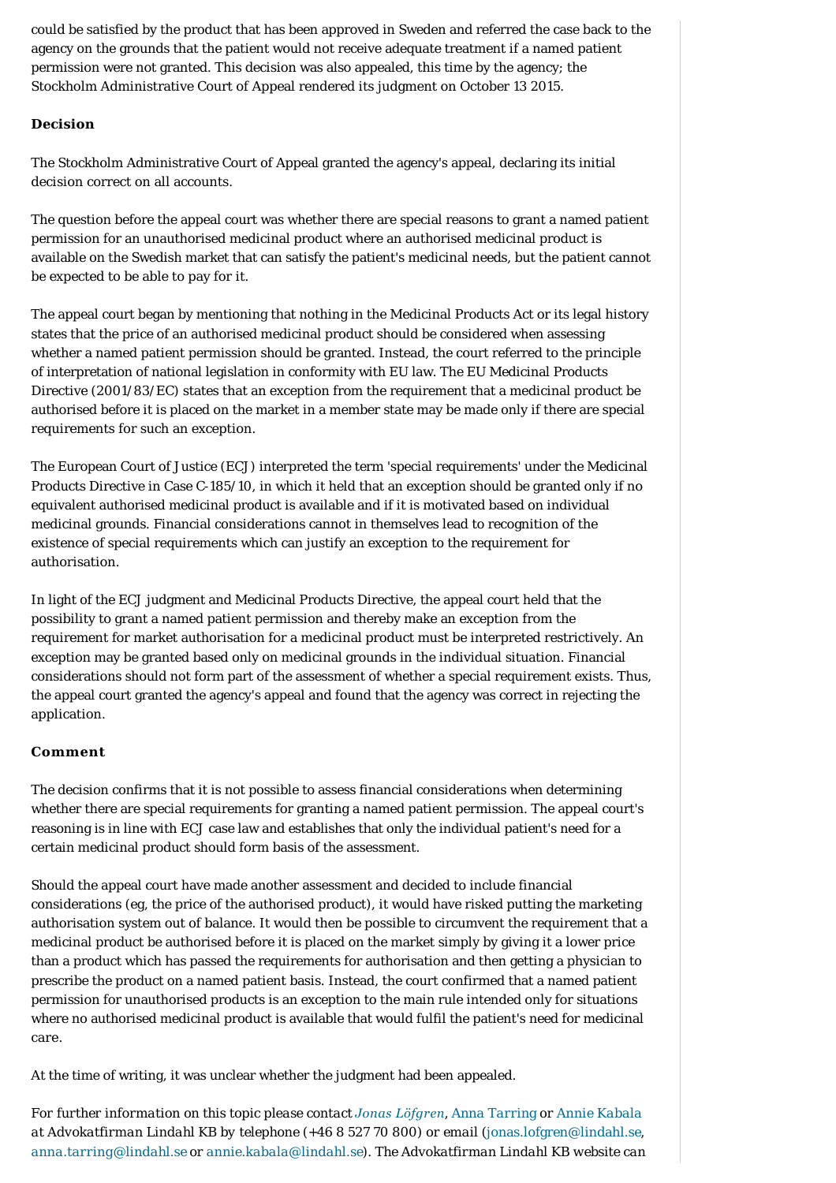could be satisfied by the product that has been approved in Sweden and referred the case back to the agency on the grounds that the patient would not receive adequate treatment if a named patient permission were not granted. This decision was also appealed, this time by the agency; the Stockholm Administrative Court of Appeal rendered its judgment on October 13 2015.

# <span id="page-1-0"></span>**Decision**

The Stockholm Administrative Court of Appeal granted the agency's appeal, declaring its initial decision correct on all accounts.

The question before the appeal court was whether there are special reasons to grant a named patient permission for an unauthorised medicinal product where an authorised medicinal product is available on the Swedish market that can satisfy the patient's medicinal needs, but the patient cannot be expected to be able to pay for it.

The appeal court began by mentioning that nothing in the Medicinal Products Act or its legal history states that the price of an authorised medicinal product should be considered when assessing whether a named patient permission should be granted. Instead, the court referred to the principle of interpretation of national legislation in conformity with EU law. The EU Medicinal Products Directive (2001/83/EC) states that an exception from the requirement that a medicinal product be authorised before it is placed on the market in a member state may be made only if there are special requirements for such an exception.

The European Court of Justice (ECJ) interpreted the term 'special requirements' under the Medicinal Products Directive in Case C-185/10, in which it held that an exception should be granted only if no equivalent authorised medicinal product is available and if it is motivated based on individual medicinal grounds. Financial considerations cannot in themselves lead to recognition of the existence of special requirements which can justify an exception to the requirement for authorisation.

In light of the ECJ judgment and Medicinal Products Directive, the appeal court held that the possibility to grant a named patient permission and thereby make an exception from the requirement for market authorisation for a medicinal product must be interpreted restrictively. An exception may be granted based only on medicinal grounds in the individual situation. Financial considerations should not form part of the assessment of whether a special requirement exists. Thus, the appeal court granted the agency's appeal and found that the agency was correct in rejecting the application.

# <span id="page-1-1"></span>**Comment**

The decision confirms that it is not possible to assess financial considerations when determining whether there are special requirements for granting a named patient permission. The appeal court's reasoning is in line with ECJ case law and establishes that only the individual patient's need for a certain medicinal product should form basis of the assessment.

Should the appeal court have made another assessment and decided to include financial considerations (eg, the price of the authorised product), it would have risked putting the marketing authorisation system out of balance. It would then be possible to circumvent the requirement that a medicinal product be authorised before it is placed on the market simply by giving it a lower price than a product which has passed the requirements for authorisation and then getting a physician to prescribe the product on a named patient basis. Instead, the court confirmed that a named patient permission for unauthorised products is an exception to the main rule intended only for situations where no authorised medicinal product is available that would fulfil the patient's need for medicinal care.

At the time of writing, it was unclear whether the judgment had been appealed.

*For further information on this topic please contact [Jonas Löfgren](http://www.internationallawoffice.com/gesr.ashx?l=7PZDXMN), [Anna Tarring](http://www.internationallawoffice.com/gesr.ashx?l=7PZDXMR) or [Annie Kabala](http://www.internationallawoffice.com/gesr.ashx?l=7PZDXMU) at Advokatfirman Lindahl KB by telephone (+46 8 527 70 800) or email (*[jonas.lofgren@lindahl.se](mailto:jonas.lofgren@lindahl.se?subject=Article%20on%20ILO), *[anna.tarring@lindahl.se](mailto:anna.tarring@lindahl.se) or [annie.kabala@lindahl.se\)](mailto:annie.kabala@lindahl.se?subject=Article%20on%20ILO). The Advokatfirman Lindahl KB website can*